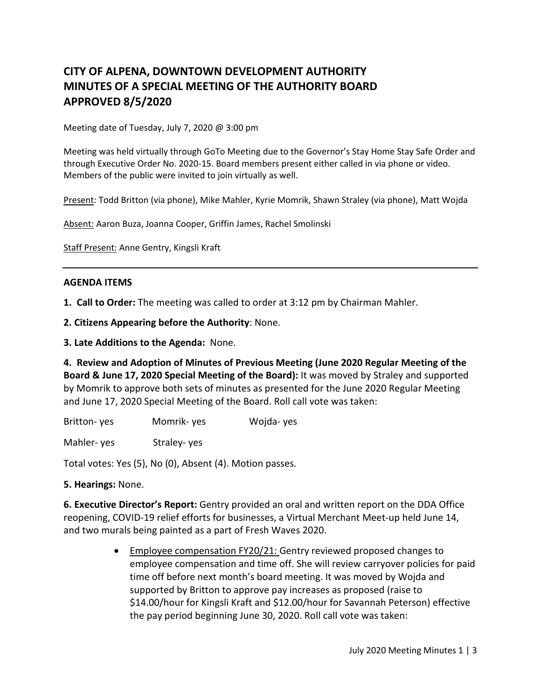# **CITY OF ALPENA, DOWNTOWN DEVELOPMENT AUTHORITY MINUTES OF A SPECIAL MEETING OF THE AUTHORITY BOARD APPROVED 8/5/2020**

Meeting date of Tuesday, July 7, 2020 @ 3:00 pm

Meeting was held virtually through GoTo Meeting due to the Governor's Stay Home Stay Safe Order and through Executive Order No. 2020-15. Board members present either called in via phone or video. Members of the public were invited to join virtually as well.

Present: Todd Britton (via phone), Mike Mahler, Kyrie Momrik, Shawn Straley (via phone), Matt Wojda

Absent: Aaron Buza, Joanna Cooper, Griffin James, Rachel Smolinski

Staff Present: Anne Gentry, Kingsli Kraft

#### **AGENDA ITEMS**

**1. Call to Order:** The meeting was called to order at 3:12 pm by Chairman Mahler.

**2. Citizens Appearing before the Authority**: None.

**3. Late Additions to the Agenda:** None.

**4. Review and Adoption of Minutes of Previous Meeting (June 2020 Regular Meeting of the Board & June 17, 2020 Special Meeting of the Board):** It was moved by Straley and supported by Momrik to approve both sets of minutes as presented for the June 2020 Regular Meeting and June 17, 2020 Special Meeting of the Board. Roll call vote was taken:

Britton- yes Momrik- yes Wojda- yes

Mahler- yes Straley- yes

Total votes: Yes (5), No (0), Absent (4). Motion passes.

**5. Hearings:** None.

**6. Executive Director's Report:** Gentry provided an oral and written report on the DDA Office reopening, COVID-19 relief efforts for businesses, a Virtual Merchant Meet-up held June 14, and two murals being painted as a part of Fresh Waves 2020.

> • Employee compensation FY20/21: Gentry reviewed proposed changes to employee compensation and time off. She will review carryover policies for paid time off before next month's board meeting. It was moved by Wojda and supported by Britton to approve pay increases as proposed (raise to \$14.00/hour for Kingsli Kraft and \$12.00/hour for Savannah Peterson) effective the pay period beginning June 30, 2020. Roll call vote was taken: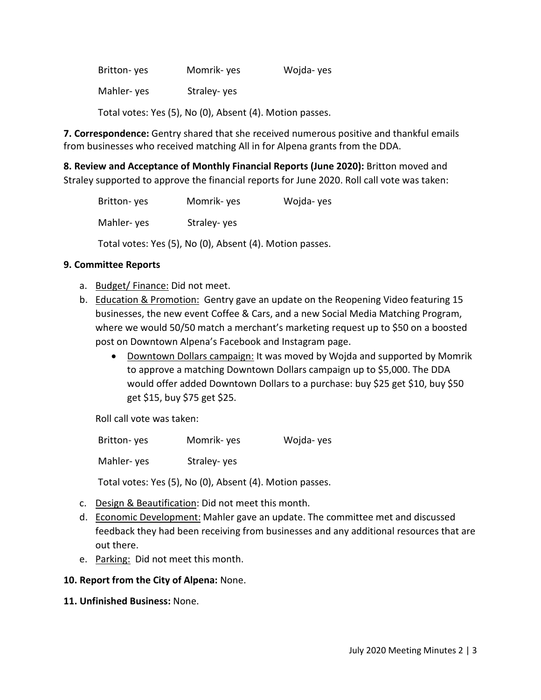| Britton-yes                                              | Momrik-yes  | Wojda-yes |  |
|----------------------------------------------------------|-------------|-----------|--|
| Mahler-yes                                               | Straley-yes |           |  |
| Total votes: Yes (5), No (0), Absent (4). Motion passes. |             |           |  |

**7. Correspondence:** Gentry shared that she received numerous positive and thankful emails from businesses who received matching All in for Alpena grants from the DDA.

**8. Review and Acceptance of Monthly Financial Reports (June 2020):** Britton moved and Straley supported to approve the financial reports for June 2020. Roll call vote was taken:

| Britton-yes                                              | Momrik-yes  | Wojda-yes |  |
|----------------------------------------------------------|-------------|-----------|--|
| Mahler-yes                                               | Straley-yes |           |  |
| Total votes: Yes (5), No (0), Absent (4). Motion passes. |             |           |  |

## **9. Committee Reports**

- a. Budget/ Finance: Did not meet.
- b. Education & Promotion: Gentry gave an update on the Reopening Video featuring 15 businesses, the new event Coffee & Cars, and a new Social Media Matching Program, where we would 50/50 match a merchant's marketing request up to \$50 on a boosted post on Downtown Alpena's Facebook and Instagram page.
	- Downtown Dollars campaign: It was moved by Wojda and supported by Momrik to approve a matching Downtown Dollars campaign up to \$5,000. The DDA would offer added Downtown Dollars to a purchase: buy \$25 get \$10, buy \$50 get \$15, buy \$75 get \$25.

Roll call vote was taken:

Britton- yes Momrik- yes Wojda- yes Mahler- yes Straley- yes

Total votes: Yes (5), No (0), Absent (4). Motion passes.

- c. Design & Beautification: Did not meet this month.
- d. Economic Development: Mahler gave an update. The committee met and discussed feedback they had been receiving from businesses and any additional resources that are out there.
- e. Parking: Did not meet this month.

## **10. Report from the City of Alpena:** None.

**11. Unfinished Business:** None.